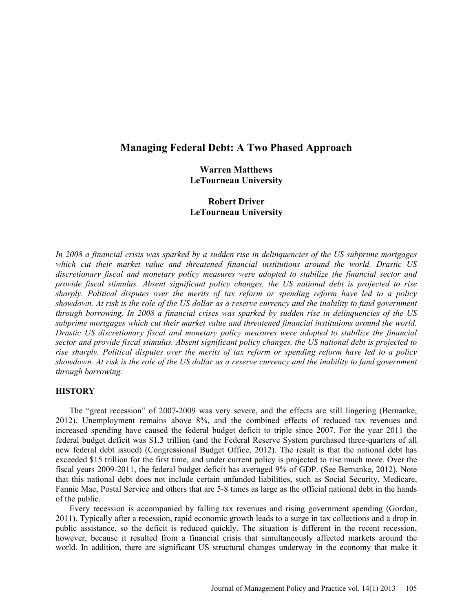# **Managing Federal Debt: A Two Phased Approach**

# **Warren Matthews LeTourneau University**

# **Robert Driver LeTourneau University**

*In 2008 a financial crisis was sparked by a sudden rise in delinquencies of the US subprime mortgages which cut their market value and threatened financial institutions around the world. Drastic US discretionary fiscal and monetary policy measures were adopted to stabilize the financial sector and provide fiscal stimulus. Absent significant policy changes, the US national debt is projected to rise sharply. Political disputes over the merits of tax reform or spending reform have led to a policy showdown. At risk is the role of the US dollar as a reserve currency and the inability to fund government through borrowing. In 2008 a financial crises was sparked by sudden rise in delinquencies of the US subprime mortgages which cut their market value and threatened financial institutions around the world. Drastic US discretionary fiscal and monetary policy measures were adopted to stabilize the financial sector and provide fiscal stimulus. Absent significant policy changes, the US national debt is projected to rise sharply. Political disputes over the merits of tax reform or spending reform have led to a policy showdown. At risk is the role of the US dollar as a reserve currency and the inability to fund government through borrowing.* 

# **HISTORY**

The "great recession" of 2007-2009 was very severe, and the effects are still lingering (Bernanke, 2012). Unemployment remains above 8%, and the combined effects of reduced tax revenues and increased spending have caused the federal budget deficit to triple since 2007. For the year 2011 the federal budget deficit was \$1.3 trillion (and the Federal Reserve System purchased three-quarters of all new federal debt issued) (Congressional Budget Office, 2012). The result is that the national debt has exceeded \$15 trillion for the first time, and under current policy is projected to rise much more. Over the fiscal years 2009-2011, the federal budget deficit has averaged 9% of GDP. (See Bernanke, 2012). Note that this national debt does not include certain unfunded liabilities, such as Social Security, Medicare, Fannie Mae, Postal Service and others that are 5-8 times as large as the official national debt in the hands of the public.

Every recession is accompanied by falling tax revenues and rising government spending (Gordon, 2011). Typically after a recession, rapid economic growth leads to a surge in tax collections and a drop in public assistance, so the deficit is reduced quickly. The situation is different in the recent recession, however, because it resulted from a financial crisis that simultaneously affected markets around the world. In addition, there are significant US structural changes underway in the economy that make it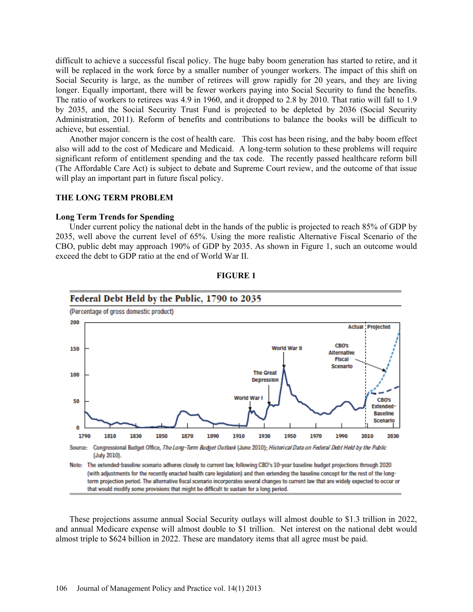difficult to achieve a successful fiscal policy. The huge baby boom generation has started to retire, and it will be replaced in the work force by a smaller number of younger workers. The impact of this shift on Social Security is large, as the number of retirees will grow rapidly for 20 years, and they are living longer. Equally important, there will be fewer workers paying into Social Security to fund the benefits. The ratio of workers to retirees was 4.9 in 1960, and it dropped to 2.8 by 2010. That ratio will fall to 1.9 by 2035, and the Social Security Trust Fund is projected to be depleted by 2036 (Social Security Administration, 2011). Reform of benefits and contributions to balance the books will be difficult to achieve, but essential.

Another major concern is the cost of health care. This cost has been rising, and the baby boom effect also will add to the cost of Medicare and Medicaid. A long-term solution to these problems will require significant reform of entitlement spending and the tax code. The recently passed healthcare reform bill (The Affordable Care Act) is subject to debate and Supreme Court review, and the outcome of that issue will play an important part in future fiscal policy.

## **THE LONG TERM PROBLEM**

### **Long Term Trends for Spending**

Under current policy the national debt in the hands of the public is projected to reach 85% of GDP by 2035, well above the current level of 65%. Using the more realistic Alternative Fiscal Scenario of the CBO, public debt may approach 190% of GDP by 2035. As shown in Figure 1, such an outcome would exceed the debt to GDP ratio at the end of World War II.



### **FIGURE 1**

These projections assume annual Social Security outlays will almost double to \$1.3 trillion in 2022, and annual Medicare expense will almost double to \$1 trillion. Net interest on the national debt would almost triple to \$624 billion in 2022. These are mandatory items that all agree must be paid.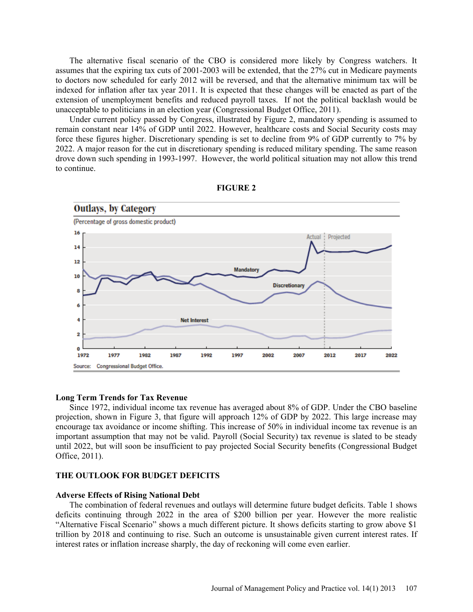The alternative fiscal scenario of the CBO is considered more likely by Congress watchers. It assumes that the expiring tax cuts of 2001-2003 will be extended, that the 27% cut in Medicare payments to doctors now scheduled for early 2012 will be reversed, and that the alternative minimum tax will be indexed for inflation after tax year 2011. It is expected that these changes will be enacted as part of the extension of unemployment benefits and reduced payroll taxes. If not the political backlash would be unacceptable to politicians in an election year (Congressional Budget Office, 2011).

Under current policy passed by Congress, illustrated by Figure 2, mandatory spending is assumed to remain constant near 14% of GDP until 2022. However, healthcare costs and Social Security costs may force these figures higher. Discretionary spending is set to decline from 9% of GDP currently to 7% by 2022. A major reason for the cut in discretionary spending is reduced military spending. The same reason drove down such spending in 1993-1997. However, the world political situation may not allow this trend to continue.



### **FIGURE 2**

## **Long Term Trends for Tax Revenue**

Since 1972, individual income tax revenue has averaged about 8% of GDP. Under the CBO baseline projection, shown in Figure 3, that figure will approach 12% of GDP by 2022. This large increase may encourage tax avoidance or income shifting. This increase of 50% in individual income tax revenue is an important assumption that may not be valid. Payroll (Social Security) tax revenue is slated to be steady until 2022, but will soon be insufficient to pay projected Social Security benefits (Congressional Budget Office, 2011).

# **THE OUTLOOK FOR BUDGET DEFICITS**

## **Adverse Effects of Rising National Debt**

The combination of federal revenues and outlays will determine future budget deficits. Table 1 shows deficits continuing through 2022 in the area of \$200 billion per year. However the more realistic "Alternative Fiscal Scenario" shows a much different picture. It shows deficits starting to grow above \$1 trillion by 2018 and continuing to rise. Such an outcome is unsustainable given current interest rates. If interest rates or inflation increase sharply, the day of reckoning will come even earlier.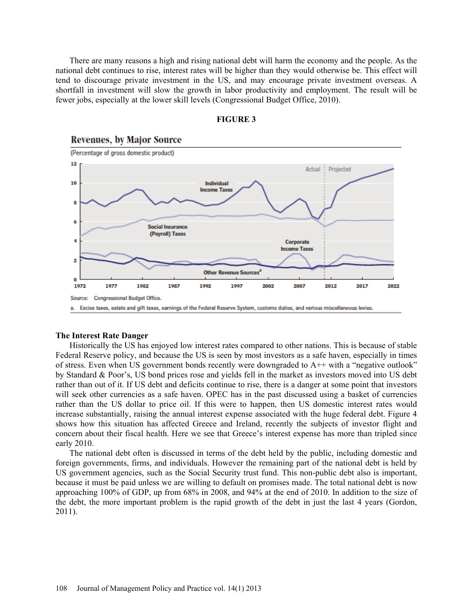There are many reasons a high and rising national debt will harm the economy and the people. As the national debt continues to rise, interest rates will be higher than they would otherwise be. This effect will tend to discourage private investment in the US, and may encourage private investment overseas. A shortfall in investment will slow the growth in labor productivity and employment. The result will be fewer jobs, especially at the lower skill levels (Congressional Budget Office, 2010).



## **FIGURE 3**

### **The Interest Rate Danger**

Historically the US has enjoyed low interest rates compared to other nations. This is because of stable Federal Reserve policy, and because the US is seen by most investors as a safe haven, especially in times of stress. Even when US government bonds recently were downgraded to  $A++$  with a "negative outlook" by Standard & Poor's, US bond prices rose and yields fell in the market as investors moved into US debt rather than out of it. If US debt and deficits continue to rise, there is a danger at some point that investors will seek other currencies as a safe haven. OPEC has in the past discussed using a basket of currencies rather than the US dollar to price oil. If this were to happen, then US domestic interest rates would increase substantially, raising the annual interest expense associated with the huge federal debt. Figure 4 shows how this situation has affected Greece and Ireland, recently the subjects of investor flight and concern about their fiscal health. Here we see that Greece's interest expense has more than tripled since early 2010.

The national debt often is discussed in terms of the debt held by the public, including domestic and foreign governments, firms, and individuals. However the remaining part of the national debt is held by US government agencies, such as the Social Security trust fund. This non-public debt also is important, because it must be paid unless we are willing to default on promises made. The total national debt is now approaching 100% of GDP, up from 68% in 2008, and 94% at the end of 2010. In addition to the size of the debt, the more important problem is the rapid growth of the debt in just the last 4 years (Gordon, 2011).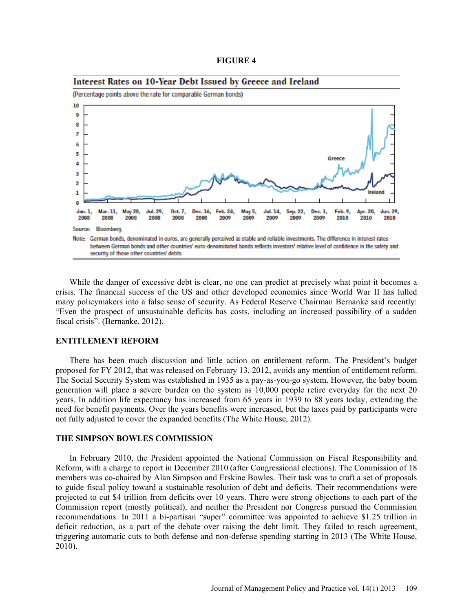| <b>FIGURE 4</b> |  |
|-----------------|--|
|-----------------|--|



Interest Rates on 10-Year Debt Issued by Greece and Ireland

While the danger of excessive debt is clear, no one can predict at precisely what point it becomes a crisis. The financial success of the US and other developed economies since World War II has lulled many policymakers into a false sense of security. As Federal Reserve Chairman Bernanke said recently: "Even the prospect of unsustainable deficits has costs, including an increased possibility of a sudden fiscal crisis". (Bernanke, 2012).

### **ENTITLEMENT REFORM**

There has been much discussion and little action on entitlement reform. The President's budget proposed for FY 2012, that was released on February 13, 2012, avoids any mention of entitlement reform. The Social Security System was established in 1935 as a pay-as-you-go system. However, the baby boom generation will place a severe burden on the system as 10,000 people retire everyday for the next 20 years. In addition life expectancy has increased from 65 years in 1939 to 88 years today, extending the need for benefit payments. Over the years benefits were increased, but the taxes paid by participants were not fully adjusted to cover the expanded benefits (The White House, 2012).

### **THE SIMPSON BOWLES COMMISSION**

In February 2010, the President appointed the National Commission on Fiscal Responsibility and Reform, with a charge to report in December 2010 (after Congressional elections). The Commission of 18 members was co-chaired by Alan Simpson and Erskine Bowles. Their task was to craft a set of proposals to guide fiscal policy toward a sustainable resolution of debt and deficits. Their recommendations were projected to cut \$4 trillion from deficits over 10 years. There were strong objections to each part of the Commission report (mostly political), and neither the President nor Congress pursued the Commission recommendations. In 2011 a bi-partisan "super" committee was appointed to achieve \$1.25 trillion in deficit reduction, as a part of the debate over raising the debt limit. They failed to reach agreement, triggering automatic cuts to both defense and non-defense spending starting in 2013 (The White House, 2010).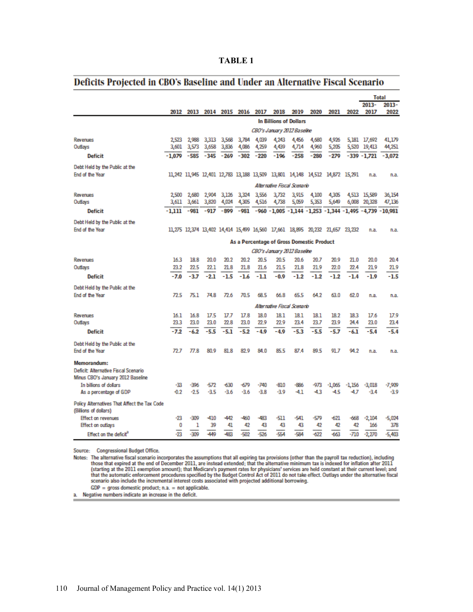| m<br>L |  |
|--------|--|
|--------|--|

# Deficits Projected in CBO's Baseline and Under an Alternative Fiscal Scenario

|                                                                       |                                           |                  |                               |                  |                  |                  |                |                                                                              |              | <b>Total</b>     |                  |                    |                                                             |
|-----------------------------------------------------------------------|-------------------------------------------|------------------|-------------------------------|------------------|------------------|------------------|----------------|------------------------------------------------------------------------------|--------------|------------------|------------------|--------------------|-------------------------------------------------------------|
|                                                                       |                                           |                  | 2012 2013 2014 2015 2016 2017 |                  |                  |                  | 2018           | 2019                                                                         | 2020         | 2021             | 2022             | 2013-<br>2017      | $2013 -$<br>2022                                            |
|                                                                       | <b>In Billions of Dollars</b>             |                  |                               |                  |                  |                  |                |                                                                              |              |                  |                  |                    |                                                             |
|                                                                       | CBO's January 2012 Baseline               |                  |                               |                  |                  |                  |                |                                                                              |              |                  |                  |                    |                                                             |
| Revenues                                                              | 2523                                      | 2.988            | 3,313                         | 3,568            | 3,784            | 4,039            | 4,243          | 4,456                                                                        | 4,680        | 4,926            |                  | 5,181 17,692       | 41,179                                                      |
| Outlays                                                               | 3,601                                     | 3,573            | 3,658                         | 3,836            | 4,086            | 4,259            | 4,439          | 4,714                                                                        | 4,960        | 5,205            |                  | 5,520 19,413       | 44,251                                                      |
| <b>Deficit</b>                                                        | $-1,079$                                  | $-585$           | $-345$                        | $-269$           | $-302$           | $-220$           | $-196$         | $-258$                                                                       | $-280$       | $-279$           |                  | $-339 - 1.721$     | $-3.072$                                                    |
| Debt Held by the Public at the                                        |                                           |                  |                               |                  |                  |                  |                |                                                                              |              |                  |                  |                    |                                                             |
| End of the Year                                                       |                                           |                  |                               |                  |                  |                  |                | 11,242 11,945 12,401 12,783 13,188 13,509 13,801 14,148 14,512 14,872 15,291 |              |                  |                  | n.a.               | n.a.                                                        |
|                                                                       | Alternative Fiscal Scenario               |                  |                               |                  |                  |                  |                |                                                                              |              |                  |                  |                    |                                                             |
| Revenues                                                              | 2500                                      | 2,680            | 2,904                         | 3,126            | 3,324            | 3,556            | 3,732          | 3,915                                                                        | 4,100        | 4,305            |                  | 4,513 15,589       | 36,154                                                      |
| Outlays                                                               |                                           | 3,611 3,661      | 3,820                         | 4,024            | 4,305            | 4,516            |                | 4,738 5,059                                                                  | 5,353        | 5,649            |                  | 6,008 20,328       | 47,136                                                      |
| <b>Deficit</b>                                                        | -1.111                                    | -981             |                               | $-917 - 899$     |                  |                  |                |                                                                              |              |                  |                  |                    | -981 -960 -1,005 -1,144 -1,253 -1,344 -1,495 -4,739 -10,981 |
| Debt Held by the Public at the                                        |                                           |                  |                               |                  |                  |                  |                |                                                                              |              |                  |                  |                    |                                                             |
| End of the Year                                                       |                                           |                  |                               |                  |                  |                  |                | 11,275 12,374 13,402 14,414 15,499 16,560 17,661 18,895 20,232 21,657 23,232 |              |                  |                  | n.a.               | n.a.                                                        |
|                                                                       | As a Percentage of Gross Domestic Product |                  |                               |                  |                  |                  |                |                                                                              |              |                  |                  |                    |                                                             |
|                                                                       | CBO's January 2012 Baseline               |                  |                               |                  |                  |                  |                |                                                                              |              |                  |                  |                    |                                                             |
| Revenues                                                              | 16.3                                      | 18.8             | 20.0                          | 20.2             | 20.2             | 20.5             | 20.5           | 20.6                                                                         | 20.7         | 20.9             | 21.0             | 20.0               | 20.4                                                        |
| Outlays                                                               | 23.2                                      | 22.5             | 22.1                          | 21.8             | 21.8             | 21.6             | 21.5           | 21.8                                                                         | 21.9         | 22.0             | 22.4             | 21.9               | 21.9                                                        |
| <b>Deficit</b>                                                        | $-7.0$                                    | $-3.7$           | $-2.1$                        | $-1.5$           | $-1.6$           | $-1.1$           | $-0.9$         | $-1.2$                                                                       | $-1.2$       | $-1.2$           | $-1.4$           | $-1.9$             | $-1.5$                                                      |
| Debt Held by the Public at the                                        |                                           |                  |                               |                  |                  |                  |                |                                                                              |              |                  |                  |                    |                                                             |
| End of the Year                                                       | 72.5                                      | 75.1             | 74.8                          | 72.6             | 70.5             | 68.5             | 66.8           | 65.5                                                                         | 64.2         | 63.0             | 62.0             | n.a.               | n.a.                                                        |
|                                                                       |                                           |                  |                               |                  |                  |                  |                | Alternative Fiscal Scenario                                                  |              |                  |                  |                    |                                                             |
| Revenues                                                              | 16.1                                      | 16.8             | 17.5                          | 17.7             | 17.8             | 18.0             | 18 1           | 18.1                                                                         | 18.1         | 18.2             | 18.3             | 17.6               | 17.9                                                        |
| Outlays                                                               | 23.3                                      | 23.0             | 23.0                          | 22.8             | 23.0             | 22.9             | 22.9           | 23.4                                                                         | 23.7         | 23.9             | 24.4             | 23.0               | 23.4                                                        |
| <b>Deficit</b>                                                        | $-7.2$                                    | $-6.2$           | $-5.5$                        | -5.1             | $-5.2$           | $-4.9$           | $-4.9$         | $-5.3$                                                                       | $-5.5$       | $-5.7$           | $-6.1$           | $-5.4$             | $-5.4$                                                      |
| Debt Held by the Public at the                                        |                                           |                  |                               |                  |                  |                  |                |                                                                              |              |                  |                  |                    |                                                             |
| End of the Year                                                       | 72.7                                      | 77.8             | 80.9                          | 81.8             | 829              | 84.0             | 85.5           | 87.4                                                                         | 89.5         | 91.7             | 94.2             | n.a.               | n.a.                                                        |
| Memorandum:                                                           |                                           |                  |                               |                  |                  |                  |                |                                                                              |              |                  |                  |                    |                                                             |
| Deficit: Alternative Fiscal Scenario                                  |                                           |                  |                               |                  |                  |                  |                |                                                                              |              |                  |                  |                    |                                                             |
| Minus CBO's January 2012 Baseline                                     |                                           |                  |                               |                  |                  |                  |                |                                                                              |              |                  |                  |                    |                                                             |
| In billions of dollars<br>As a percentage of GDP                      | -33<br>$-0.2$                             | $-396$<br>$-2.5$ | $-572$<br>$-3.5$              | $-630$<br>$-3.6$ | $-679$<br>$-3.6$ | $-740$<br>$-3.8$ | -810<br>$-3.9$ | -886<br>-4.1                                                                 | -973<br>-4.3 | $-1.065$<br>-4.5 | $-1.156$<br>-4.7 | $-3,018$<br>$-3.4$ | $-7,909$<br>$-3.9$                                          |
|                                                                       |                                           |                  |                               |                  |                  |                  |                |                                                                              |              |                  |                  |                    |                                                             |
| Policy Alternatives That Affect the Tax Code<br>(Billions of dollars) |                                           |                  |                               |                  |                  |                  |                |                                                                              |              |                  |                  |                    |                                                             |
| <b>Effect on revenues</b>                                             | -23                                       | $-309$           | $-410$                        | $-442$           | $-460$           | -483             | -511           | $-541$                                                                       | -579         | -621             | -668             | $-2,104$           | $-5,024$                                                    |
| Effect on outlays                                                     | 0                                         | 1                | 39                            | 41               | 42               | 43               | 43             | 43                                                                           | 42           | 42               | 42               | 166                | 378                                                         |
| Effect on the deficit"                                                | -23                                       | $-309$           | -449                          | -483             | $-502$           | $-526$           | $-554$         | $-584$                                                                       | $-622$       | -663             | -710             | $-2,270$           | $-5,403$                                                    |

Source: Congressional Budget Office.

Notes: The alternative fiscal scenario incorporates the assumptions that all expiring tax provisions (other than the payroll tax reduction), including<br>those that expired at the end of December 2011, are instead extended; t starting at the 2011 exemption amount); that Medicare's payment rates for physicians' services are held constant at their current level; and<br>that the automatic enforcement procedures specified by the Budget Control Act of scenario also include the incremental interest costs associated with projected additional borrowing.

 $GDP = gross domestic product; n.a. = not applicable.$ 

a. Negative numbers indicate an increase in the deficit.